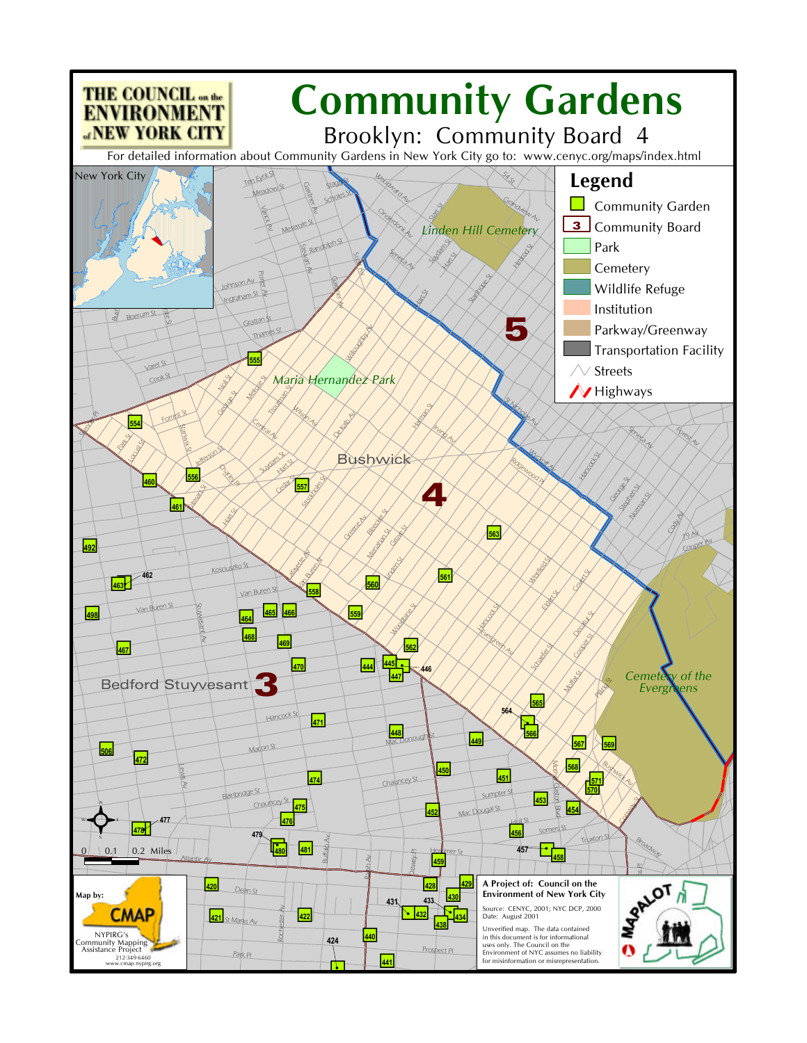